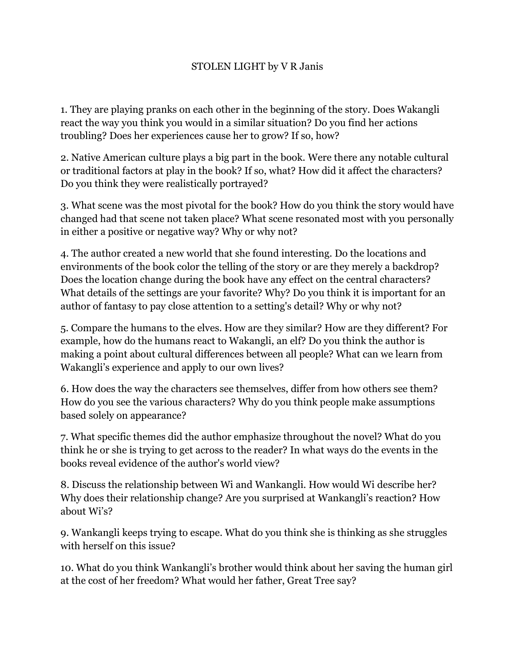## STOLEN LIGHT by V R Janis

1. They are playing pranks on each other in the beginning of the story. Does Wakangli react the way you think you would in a similar situation? Do you find her actions troubling? Does her experiences cause her to grow? If so, how?

2. Native American culture plays a big part in the book. Were there any notable cultural or traditional factors at play in the book? If so, what? How did it affect the characters? Do you think they were realistically portrayed?

3. What scene was the most pivotal for the book? How do you think the story would have changed had that scene not taken place? What scene resonated most with you personally in either a positive or negative way? Why or why not?

4. The author created a new world that she found interesting. Do the locations and environments of the book color the telling of the story or are they merely a backdrop? Does the location change during the book have any effect on the central characters? What details of the settings are your favorite? Why? Do you think it is important for an author of fantasy to pay close attention to a setting's detail? Why or why not?

5. Compare the humans to the elves. How are they similar? How are they different? For example, how do the humans react to Wakangli, an elf? Do you think the author is making a point about cultural differences between all people? What can we learn from Wakangli's experience and apply to our own lives?

6. How does the way the characters see themselves, differ from how others see them? How do you see the various characters? Why do you think people make assumptions based solely on appearance?

7. What specific themes did the author emphasize throughout the novel? What do you think he or she is trying to get across to the reader? In what ways do the events in the books reveal evidence of the author's world view?

8. Discuss the relationship between Wi and Wankangli. How would Wi describe her? Why does their relationship change? Are you surprised at Wankangli's reaction? How about Wi's?

9. Wankangli keeps trying to escape. What do you think she is thinking as she struggles with herself on this issue?

10. What do you think Wankangli's brother would think about her saving the human girl at the cost of her freedom? What would her father, Great Tree say?